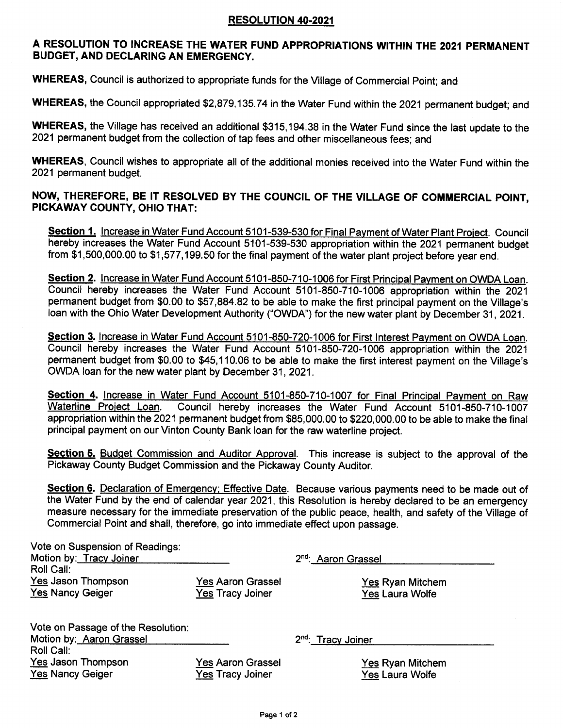## RESOLUTION 40.2021

## A RESOLUTION TO INCREASE THE WATER FUND APPROPRIATIONS WITHIN THE 2021 PERMANENT BUDGET, AND DECLARING AN EMERGENCY.

WHEREAS, Council is authorized to appropriate funds for the Village of Commercial Point; and

WHEREAS, the Council appropriated \$2,879,135.74 in the Water Fund within the 2021 permanent budget; and

WHEREAS, the Village has received an additional \$31S,194.38 in the Water Fund since the last update to the 2021 permanent budget from the collection of tap fees and other miscellaneous fees; and

WHEREAS, Council wishes to appropriate all of the additional monies received into the Water Fund within the 2021 permanent budget.

## NOW, THEREFORE, BE IT RESOLVED BY THE COUNCIL OF THE VILLAGE OF COMMERCIAL POINT, PICKAWAY COUNTY, OHIO THAT:

Section 1. Increase in Water Fund Account 5101-539-530 for Final Payment of Water Plant Project. Council hereby increases the Water Fund Account 5101-539-530 appropriation within the 2021 permanent budget from \$1,500,000.00 to \$1,577,199.50 for the final payment of the water plant project before year end.

Section 2. Increase in Water Fund Account 5101-850-710-1006 for First Principal Payment on OWDA Loan. Council hereby increases the Water Fund Account 5101-850-710-1006 appropriation within the 2021 permanent budget from \$0.00 to \$57,884.82 to be able to make the first principal payment on the Village's loan with the Ohio Water Development Authority ("OWDA") for the new water plant by December 31, 2021.

Section 3. Increase in Water Fund Account 5101-850-720-1006 for First Interest Payment on OWDA Loan. Council hereby increases the Water Fund Account 5101-850-720-1006 appropriation within the 2021 permanent budget from \$0.00 to \$45,110.06 to be able to make the first interest payment on the Village's OWDA loan for the new water plant by December 31,2021.

Section 4. Increase in Water Fund Account 5101-850-710-1007 for Final Principal Payment on Raw<br>Waterline Project Loan. Council hereby increases the Water Fund Account 5101-850-710-1007 Council hereby increases the Water Fund Account 5101-850-710-1007 appropriation within the 2021 permanent budget from \$85,000.00 to \$220,000.00 to be able to make the final principal payment on our Vinton County Bank loan for the raw waterline project.

Section 5. Budget Commission and Auditor Approval. This increase is subject to the approval of the Pickaway County Budget Commission and the Pickaway County Auditor.

Section 6. Declaration of Emergency; Effective Date. Because various payments need to be made out of the Water Fund by the end of calendar year 2021, this Resolution is hereby declared to be an emergency measure necessary for the immediate preservation of the public peace, health, and safety of the Village of Commercial Point and shall, therefore, go into immediate effect upon passage.

| Vote on Suspension of Readings:<br>Motion by: Tracy Joiner     |                                                     | 2 <sup>nd</sup> : Aaron Grassel                   |
|----------------------------------------------------------------|-----------------------------------------------------|---------------------------------------------------|
| Roll Call:                                                     |                                                     |                                                   |
| Yes Jason Thompson<br><b>Yes Nancy Geiger</b>                  | <b>Yes Aaron Grassel</b><br>Yes Tracy Joiner        | <b>Yes Ryan Mitchem</b><br><b>Yes Laura Wolfe</b> |
| Vote on Passage of the Resolution:<br>Motion by: Aaron Grassel |                                                     | 2 <sup>nd</sup> : Tracy Joiner                    |
| Roll Call:                                                     |                                                     |                                                   |
| Yes Jason Thompson<br><b>Yes Nancy Geiger</b>                  | <b>Yes Aaron Grassel</b><br><b>Yes Tracy Joiner</b> | <b>Yes Ryan Mitchem</b><br><b>Yes Laura Wolfe</b> |